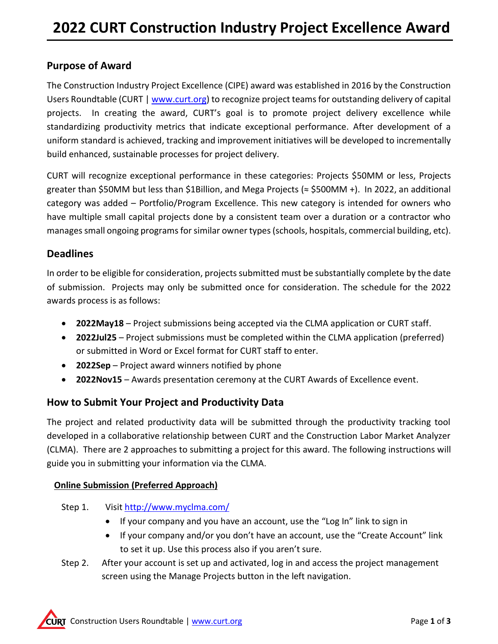# **Purpose of Award**

The Construction Industry Project Excellence (CIPE) award was established in 2016 by the Construction Users Roundtable (CURT [| www.curt.org\)](http://www.curt.org/) to recognize project teams for outstanding delivery of capital projects. In creating the award, CURT's goal is to promote project delivery excellence while standardizing productivity metrics that indicate exceptional performance. After development of a uniform standard is achieved, tracking and improvement initiatives will be developed to incrementally build enhanced, sustainable processes for project delivery.

CURT will recognize exceptional performance in these categories: Projects \$50MM or less, Projects greater than \$50MM but less than \$1Billion, and Mega Projects (≈ \$500MM +). In 2022, an additional category was added – Portfolio/Program Excellence. This new category is intended for owners who have multiple small capital projects done by a consistent team over a duration or a contractor who manages small ongoing programs for similar owner types (schools, hospitals, commercial building, etc).

# **Deadlines**

In order to be eligible for consideration, projects submitted must be substantially complete by the date of submission. Projects may only be submitted once for consideration. The schedule for the 2022 awards process is as follows:

- **2022May18** Project submissions being accepted via the CLMA application or CURT staff.
- **2022Jul25** Project submissions must be completed within the CLMA application (preferred) or submitted in Word or Excel format for CURT staff to enter.
- **2022Sep** Project award winners notified by phone
- **2022Nov15** Awards presentation ceremony at the CURT Awards of Excellence event.

# **How to Submit Your Project and Productivity Data**

The project and related productivity data will be submitted through the productivity tracking tool developed in a collaborative relationship between CURT and the Construction Labor Market Analyzer (CLMA). There are 2 approaches to submitting a project for this award. The following instructions will guide you in submitting your information via the CLMA.

## **Online Submission (Preferred Approach)**

- Step 1. Visit<http://www.myclma.com/>
	- If your company and you have an account, use the "Log In" link to sign in
	- If your company and/or you don't have an account, use the "Create Account" link to set it up. Use this process also if you aren't sure.
- Step 2. After your account is set up and activated, log in and access the project management screen using the Manage Projects button in the left navigation.

**CURT** Construction Users Roundtable [| www.curt.org](http://www.curt.org/) Page 1 of 3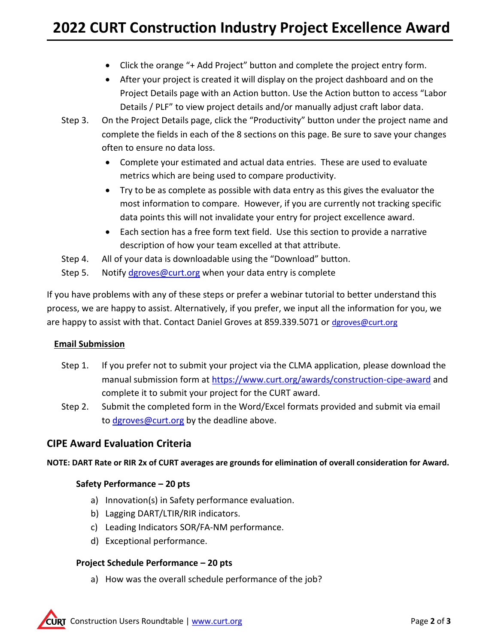- Click the orange "+ Add Project" button and complete the project entry form.
- After your project is created it will display on the project dashboard and on the Project Details page with an Action button. Use the Action button to access "Labor Details / PLF" to view project details and/or manually adjust craft labor data.
- Step 3. On the Project Details page, click the "Productivity" button under the project name and complete the fields in each of the 8 sections on this page. Be sure to save your changes often to ensure no data loss.
	- Complete your estimated and actual data entries. These are used to evaluate metrics which are being used to compare productivity.
	- Try to be as complete as possible with data entry as this gives the evaluator the most information to compare. However, if you are currently not tracking specific data points this will not invalidate your entry for project excellence award.
	- Each section has a free form text field. Use this section to provide a narrative description of how your team excelled at that attribute.
- Step 4. All of your data is downloadable using the "Download" button.
- Step 5. Notify [dgroves@curt.org](mailto:dgroves@curt.org) when your data entry is complete

If you have problems with any of these steps or prefer a webinar tutorial to better understand this process, we are happy to assist. Alternatively, if you prefer, we input all the information for you, we are happy to assist with that. Contact Daniel Groves at 859.339.5071 or [dgroves@curt.org](mailto:dgroves@curt.org)

#### **Email Submission**

- Step 1. If you prefer not to submit your project via the CLMA application, please download the manual submission form at<https://www.curt.org/awards/construction-cipe-award>and complete it to submit your project for the CURT award.
- Step 2. Submit the completed form in the Word/Excel formats provided and submit via email to [dgroves@curt.org](mailto:dgroves@curt.org) by the deadline above.

## **CIPE Award Evaluation Criteria**

**NOTE: DART Rate or RIR 2x of CURT averages are grounds for elimination of overall consideration for Award.** 

#### **Safety Performance – 20 pts**

- a) Innovation(s) in Safety performance evaluation.
- b) Lagging DART/LTIR/RIR indicators.
- c) Leading Indicators SOR/FA-NM performance.
- d) Exceptional performance.

#### **Project Schedule Performance – 20 pts**

a) How was the overall schedule performance of the job?

**CURT** Construction Users Roundtable [| www.curt.org](http://www.curt.org/) Page 2 of 3